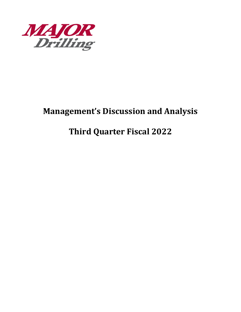

# **Management's Discussion and Analysis**

# **Third Quarter Fiscal 2022**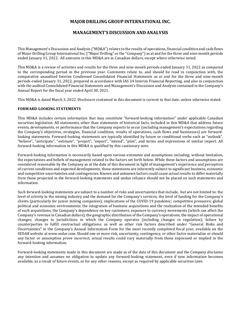# **MAJOR DRILLING GROUP INTERNATIONAL INC.**

# **MANAGEMENT'S DISCUSSION AND ANALYSIS**

This Management's Discussion and Analysis ("MD&A") relates to the results of operations, financial condition and cash flows of Major Drilling Group International Inc. ("Major Drilling" or the "Company") as at and for the three and nine-month periods ended January 31, 2022. All amounts in this MD&A are in Canadian dollars, except where otherwise noted.

This MD&A is a review of activities and results for the three and nine-month periods ended January 31, 2022 as compared to the corresponding period in the previous year. Comments relate to, and should be read in conjunction with, the comparative unaudited Interim Condensed Consolidated Financial Statements as at and for the three and nine-month periods ended January 31, 2022, prepared in accordance with IAS 34 Interim Financial Reporting, and also in conjunction with the audited Consolidated Financial Statements and Management's Discussion and Analysis contained in the Company's Annual Report for the fiscal year ended April 30, 2021.

This MD&A is dated March 3, 2022. Disclosure contained in this document is current to that date, unless otherwise stated.

# **FORWARD-LOOKING STATEMENTS**

This MD&A includes certain information that may constitute "forward-looking information" under applicable Canadian securities legislation. All statements, other than statements of historical facts, included in this MD&A that address future events, developments, or performance that the Company expects to occur (including management's expectations regarding the Company's objectives, strategies, financial condition, results of operations, cash flows and businesses) are forwardlooking statements. Forward-looking statements are typically identified by future or conditional verbs such as "outlook", "believe", "anticipate", "estimate", "project", "expect", "intend", "plan", and terms and expressions of similar import. All forward-looking information in this MD&A is qualified by this cautionary note.

Forward-looking information is necessarily based upon various estimates and assumptions including, without limitation, the expectations and beliefs of management related to the factors set forth below. While these factors and assumptions are considered reasonable by the Company as at the date of this document in light of management's experience and perception of current conditions and expected developments, these statements are inherently subject to significant business, economic and competitive uncertainties and contingencies. Known and unknown factors could cause actual results to differ materially from those projected in the forward-looking statements and undue reliance should not be placed on such statements and information.

Such forward-looking statements are subject to a number of risks and uncertainties that include, but are not limited to: the level of activity in the mining industry and the demand for the Company's services; the level of funding for the Company's clients (particularly for junior mining companies); implications of the COVID-19 pandemic; competitive pressures; global political and economic environments; the integration of business acquisitions and the realization of the intended benefits of such acquisitions; the Company's dependence on key customers; exposure to currency movements (which can affect the Company's revenue in Canadian dollars); the geographic distribution of the Company's operations; the impact of operational changes; changes in jurisdictions in which the Company operates (including changes in regulation); failure by counterparties to fulfill contractual obligations; as well as other risk factors described under "General Risks and Uncertainties" in the Company's Annual Information Form for the most recently completed fiscal year, available on the SEDAR website at www.sedar.com. Should one or more risk, uncertainty, contingency, or other factor materialize or should any factor or assumption prove incorrect, actual results could vary materially from those expressed or implied in the forward-looking information.

Forward-looking statements made in this document are made as of the date of this document and the Company disclaims any intention and assumes no obligation to update any forward-looking statement, even if new information becomes available, as a result of future events, or for any other reasons, except as required by applicable securities laws.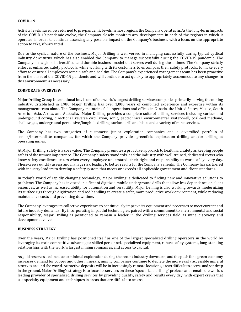#### **COVID-19**

Activity levels have now returned to pre-pandemic levels in most regions the Company operates in. As the long-term impacts of the COVID-19 pandemic evolve, the Company closely monitors any developments in each of the regions in which it operates, in order to continue assessing any possible impact on the Company's business, with a focus on the appropriate action to take, if warranted.

Due to the cyclical nature of the business, Major Drilling is well versed in managing successfully during typical cyclical industry downturns, which has also enabled the Company to manage successfully during the COVID-19 pandemic. The Company has a global, diversified, and durable business model that serves well during these times. The Company strictly enforces enhanced safety protocols, while working with its customers to encompass their safety protocols, to make every effort to ensure all employees remain safe and healthy. The Company's experienced management team has been proactive from the onset of the COVID-19 pandemic and will continue to act quickly to appropriately accommodate any changes in this environment, as necessary.

### **CORPORATE OVERVIEW**

Major Drilling Group International Inc. is one of the world's largest drilling services companies primarily serving the mining industry. Established in 1980, Major Drilling has over 1,000 years of combined experience and expertise within its management team alone. The Company maintains field operations and offices in Canada, the United States, Mexico, South America, Asia, Africa, and Australia. Major Drilling provides a complete suite of drilling services including surface and underground coring, directional, reverse circulation, sonic, geotechnical, environmental, water-well, coal-bed methane, shallow gas, underground percussive/longhole drilling, surface drill and blast, and a variety of mine services.

The Company has two categories of customers: junior exploration companies and a diversified portfolio of senior/intermediate companies, for which the Company provides greenfield exploration drilling and/or drilling at operating mines.

At Major Drilling, safety is a core value. The Company promotes a proactive approach to health and safety as keeping people safe is of the utmost importance. The Company's safety standards lead the industry with well-trained, dedicated crews who know safety excellence occurs when every employee understands their right and responsibility to work safely every day. These crews quickly assess and manage risk, leading to better results for the Company's clients. The Company has partnered with industry leaders to develop a safety system that meets or exceeds all applicable government and client standards.

In today's world of rapidly changing technology, Major Drilling is dedicated to finding new and innovative solutions to problems. The Company has invested in a fleet of digitized mobile underground drills that allow less dependence on client resources, as well as increased ability for automation and versatility. Major Drilling is also working towards modernizing its surface rigs through digitization and rod handling to create a safer, more productive work environment, while reducing maintenance costs and preventing downtime.

The Company leverages its collective experience to continuously improve its equipment and processes to meet current and future industry demands. By incorporating impactful technologies, paired with a commitment to environmental and social responsibility, Major Drilling is positioned to remain a leader in the drilling services field as mine discovery and development evolve.

#### **BUSINESS STRATEGY**

Over the years, Major Drilling has positioned itself as one of the largest specialized drilling operators in the world by leveraging its main competitive advantages: skilled personnel, specialized equipment, robust safety systems, long-standing relationships with the world's largest mining companies, and access to capital.

As gold reserves decline due to minimal exploration during the recent industry downturn, and the push for a green economy increases demand for copper and other minerals, mining companies continue to deplete the more easily accessible mineral reserves around the world. Attractive deposits will be in increasingly remote locations, areas difficult to access and/or deep in the ground. Major Drilling's strategy is to focus its services on these "specialized drilling" projects and remain the world's leading provider of specialized drilling services by providing quality, safety and results every day, with expert crews that use specialty equipment and techniques in areas that are difficult to access.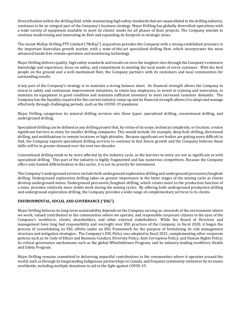Diversification within the drilling field, while maintaining high safety standards that are unparalleled in the drilling industry, continues to be an integral part of the Company's business strategy. Major Drilling has globally diversified operations with a wide variety of equipment available to meet its clients' needs for all phases of their projects. The Company intends to continue modernizing and innovating its fleet and expanding its footprint in strategic areas.

The recent McKay Drilling PTY Limited ("McKay") acquisition provides the Company with a strong established presence in the important Australian growth market, with a state-of-the-art specialized drilling fleet, which incorporates the most advanced hands-free remote operation and monitoring technology.

Major Drilling delivers quality, high safety standards and results on even the toughest sites through the Company's extensive knowledge and experience, focus on safety, and commitment to meeting the local needs of every customer. With the best people on the ground and a well-maintained fleet, the Company partners with its customers and local communities for outstanding results.

A key part of the Company's strategy is to maintain a strong balance sheet. Its financial strength allows the Company to invest in safety and continuous improvement initiatives, to retain key employees, to invest in training and innovation, to maintain its equipment in good condition and maintain sufficient inventory to meet increased customer demands. The Company has the liquidity required for the current industry ramp-up and its financial strength allows it to adapt and manage effectively through challenging periods, such as the COVID-19 pandemic.

Major Drilling categorizes its mineral drilling services into three types: specialized drilling, conventional drilling, and underground drilling.

Specialized drilling can be defined as any drilling project that, by virtue of its scope, technical complexity, or location, creates significant barriers to entry for smaller drilling companies. This would include, for example, deep-hole drilling, directional drilling, and mobilizations to remote locations or high altitudes. Because significant ore bodies are getting more difficult to find, the Company expects specialized drilling services to continue to fuel future growth and the Company believes these skills will be in greater demand over the next two decades.

Conventional drilling tends to be more affected by the industry cycle, as the barriers to entry are not as significant as with specialized drilling. This part of the industry is highly fragmented and has numerous competitors. Because the Company offers only limited differentiation in this sector, it is not its priority for investment.

The Company's underground services include both underground exploration drilling and underground percussive/longhole drilling. Underground exploration drilling takes on greater importance in the latter stages of the mining cycle as clients develop underground mines. Underground percussive/longhole drilling, which relates more to the production function of a mine, provides relatively more stable work during the mining cycles. By offering both underground production drilling and underground exploration drilling, the Company provides a wide range of complementary services to its clients.

# **ENVIRONMENTAL, SOCIAL AND GOVERNANCE ("ESG")**

Major Drilling believes its long-term sustainability depends on the Company serving as: stewards of the environment where we work; valued contributors to the communities where we operate; and responsible corporate citizens in the eyes of the Company's workforce, clients, shareholders, and other external stakeholders. While the Board of Directors and management have long had responsibility and oversight over ESG practices of the Company, in fiscal 2020, it began the process of consolidating its ESG efforts under an ESG Framework for the purpose of formalizing its risk management structure and mitigation strategies. The Company's ESG Policy was adopted in fiscal 2021, complementing other corporate policies such as its Code of Ethics and Business Conduct, Diversity Policy, Anti-Corruption Policy, and Human Rights Policy; its critical governance mechanisms such as the global Whistleblower Program; and its industry-leading workforce Health and Safety Program.

Major Drilling remains committed to delivering impactful contributions to the communities where it operates around the world, such as through its longstanding Indigenous partnerships in Canada, and frequent community initiatives by its teams worldwide, including multiple donations to aid in the fight against COVID-19.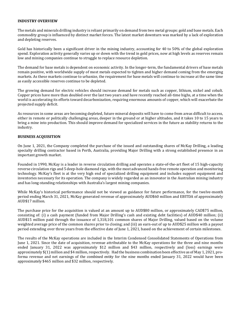### **INDUSTRY OVERVIEW**

The metals and minerals drilling industry is reliant primarily on demand from two metal groups: gold and base metals. Each commodity group is influenced by distinct market forces. The latest market downturn was marked by a lack of exploration and depleting reserves.

Gold has historically been a significant driver in the mining industry, accounting for 40 to 50% of the global exploration spend. Exploration activity generally varies up or down with the trend in gold prices, now at high levels as reserves remain low and mining companies continue to struggle to replace resource depletion.

The demand for base metals is dependent on economic activity. In the longer-term, the fundamental drivers of base metals remain positive, with worldwide supply of most metals expected to tighten and higher demand coming from the emerging markets. As these markets continue to urbanize, the requirement for base metals will continue to increase at the same time as easily accessible reserves continue to be depleted.

The growing demand for electric vehicles should increase demand for metals such as copper, lithium, nickel and cobalt. Copper prices have more than doubled over the last two years and have recently reached all-time highs, at a time when the world is accelerating its efforts toward decarbonization, requiring enormous amounts of copper, which will exacerbate the projected supply deficit.

As resources in some areas are becoming depleted, future mineral deposits will have to come from areas difficult to access, either in remote or politically challenging areas, deeper in the ground or at higher altitudes, and it takes 10 to 15 years to bring a mine into production. This should improve demand for specialized services in the future as stability returns to the industry.

# **BUSINESS ACQUISITION**

On June 1, 2021, the Company completed the purchase of the issued and outstanding shares of McKay Drilling, a leading specialty drilling contractor based in Perth, Australia, providing Major Drilling with a strong established presence in an important growth market.

Founded in 1990, McKay is a leader in reverse circulation drilling and operates a state-of-the-art fleet of 15 high-capacity reverse circulation rigs and 5 deep-hole diamond rigs, with the most advanced hands-free remote operation and monitoring technology. McKay's fleet is at the very high end of specialized drilling equipment and includes support equipment and inventories necessary for its operation. The company is widely regarded as an innovator in the Australian mining industry and has long-standing relationships with Australia's largest mining companies.

While McKay's historical performance should not be viewed as guidance for future performance, for the twelve-month period ending March 31, 2021, McKay generated revenue of approximately AUD\$60 million and EBITDA of approximately AUD\$17 million.

The purchase price for the acquisition is valued at an amount up to AUD\$80 million, or approximately CAD\$75 million, consisting of: (i) a cash payment (funded from Major Drilling's cash and existing debt facilities) of AUD\$40 million; (ii) AUD\$15 million paid through the issuance of 1,318,101 common shares of Major Drilling, valued based on the volume weighted average price of the common shares prior to closing; and (iii) an earn-out of up to AUD\$25 million with a payout period extending over three years from the effective date of June 1, 2021, based on the achievement of certain milestones.

The results of the McKay operations are included in the Interim Condensed Consolidated Statements of Operations from June 1, 2021. Since the date of acquisition, revenue attributable to the McKay operations for the three and nine months ended January 31, 2022 was approximately \$12 million and \$43 million, respectively and (loss) earnings were approximately \$(1) million and \$4 million, respectively. Had the business combination been effective as of May 1, 2021, proforma revenue and net earnings of the combined entity for the nine months ended January 31, 2022 would have been approximately \$465 million and \$32 million, respectively.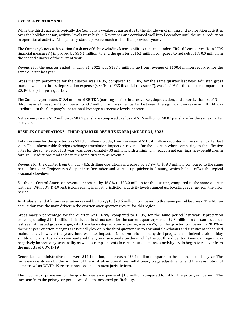### **OVERALL PERFORMANCE**

While the third quarter is typically the Company's weakest quarter due to the shutdown of mining and exploration activities over the holiday season, activity levels were high in November and continued well into December until the usual reduction in operational activity. Also, January start-ups were much earlier than previous years.

The Company's net cash position (cash net of debt, excluding lease liabilities reported under IFRS 16 Leases - see "Non-IFRS financial measures") improved by \$36.1 million, to end the quarter at \$6.1 million compared to net debt of \$30.0 million in the second quarter of the current year.

Revenue for the quarter ended January 31, 2022 was \$138.8 million, up from revenue of \$100.4 million recorded for the same quarter last year.

Gross margin percentage for the quarter was 16.9% compared to 11.0% for the same quarter last year. Adjusted gross margin, which excludes depreciation expense (see "Non-IFRS financial measures"), was 24.2% for the quarter compared to 20.3% the prior year quarter.

The Company generated \$18.4 million of EBITDA (earnings before interest, taxes, depreciation, and amortization - see "Non-IFRS financial measures"), compared to \$8.7 million for the same quarter last year. The significant increase in EBITDA was attributed to the Company's operational leverage as revenue levels increase.

Net earnings were \$5.7 million or \$0.07 per share compared to a loss of \$1.5 million or \$0.02 per share for the same quarter last year.

### **RESULTS OF OPERATIONS - THIRD QUARTER RESULTS ENDED JANUARY 31, 2022**

Total revenue for the quarter was \$138.8 million up 38% from revenue of \$100.4 million recorded in the same quarter last year. The unfavourable foreign exchange translation impact on revenue for the quarter, when comparing to the effective rates for the same period last year, was approximately \$3 million, with a minimal impact on net earnings as expenditures in foreign jurisdictions tend to be in the same currency as revenue.

Revenue for the quarter from Canada - U.S. drilling operations increased by 37.9% to \$78.3 million, compared to the same period last year. Projects ran deeper into December and started up quicker in January, which helped offset the typical seasonal slowdown.

South and Central American revenue increased by 46.8% to \$32.0 million for the quarter, compared to the same quarter last year. With COVID-19 restrictions easing in most jurisdictions, activity levels ramped up, boosting revenue from the prior period.

Australasian and African revenue increased by 30.7% to \$28.5 million, compared to the same period last year. The McKay acquisition was the main driver in the quarter-over-quarter growth for this region.

Gross margin percentage for the quarter was 16.9%, compared to 11.0% for the same period last year. Depreciation expense, totaling \$10.1 million, is included in direct costs for the current quarter, versus \$9.3 million in the same quarter last year. Adjusted gross margin, which excludes depreciation expense, was 24.2% for the quarter, compared to 20.3% in the prior year quarter. Margins are typically lower in the third quarter due to seasonal slowdowns and significant scheduled maintenance, however this year, there was less impact in North America as many drill programs minimized their holiday shutdown plans. Australasia encountered the typical seasonal slowdown while the South and Central American region was negatively impacted by seasonality as well as ramp-up costs in certain jurisdictions as activity levels began to recover from the impacts of COVID-19.

General and administrative costs were \$14.1 million, an increase of \$2.4 million compared to the same quarter last year. The increase was driven by the addition of the Australian operations, inflationary wage adjustments, and the resumption of some travel as COVID-19 restrictions loosened in most jurisdictions.

The income tax provision for the quarter was an expense of \$1.3 million compared to nil for the prior year period. The increase from the prior year period was due to increased profitability.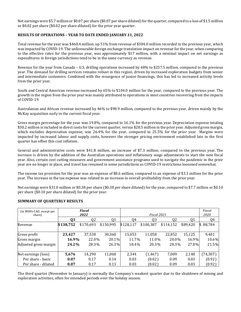Net earnings were \$5.7 million or \$0.07 per share (\$0.07 per share diluted) for the quarter, compared to a loss of \$1.5 million or \$0.02 per share (\$0.02 per share diluted) for the prior year quarter.

# **RESULTS OF OPERATIONS – YEAR TO DATE ENDED JANUARY 31, 2022**

Total revenue for the year was \$460.4 million, up 51% from revenue of \$304.0 million recorded in the previous year, which was impacted by COVID-19. The unfavourable foreign exchange translation impact on revenue for the year, when comparing to the effective rates for the previous year, was approximately \$17 million, with a minimal impact on net earnings as expenditures in foreign jurisdictions tend to be in the same currency as revenue.

Revenue for the year from Canada – U.S. drilling operations increased by 48% to \$257.5 million, compared to the previous year. The demand for drilling services remains robust in this region, driven by increased exploration budgets from senior and intermediate customers. Combined with the resurgence of junior financings, this has led to increased activity levels from the prior year.

South and Central American revenue increased by 65% to \$104.0 million for the year, compared to the previous year. The growth in the region from the prior year was mainly attributed to operations in most countries recovering from the impacts of COVID-19.

Australasian and African revenue increased by 46% to \$98.9 million, compared to the previous year, driven mainly by the McKay acquisition early in the current fiscal year.

Gross margin percentage for the year was 19.8%, compared to 16.1% for the previous year. Depreciation expense totaling \$30.2 million is included in direct costs for the current quarter, versus \$28.5 million in the prior year. Adjusted gross margin, which excludes depreciation expense, was 26.4% for the year, compared to 25.5% for the prior year. Margins were impacted by increased labour and supply costs, however the stronger pricing environment established late in the first quarter has offset this cost inflation.

General and administrative costs were \$41.8 million, an increase of \$7.3 million, compared to the previous year. The increase is driven by the addition of the Australian operations and inflationary wage adjustments to start the new fiscal year. Also, certain cost cutting measures and government assistance programs used to navigate the pandemic in the prior year are no longer in place, and travel has resumed in some jurisdictions as COVID-19 restrictions loosened somewhat.

The income tax provision for the year was an expense of \$8.6 million, compared to an expense of \$3.3 million for the prior year. The increase in the tax expense was related to an increase in overall profitability from the prior year.

Net earnings were \$31.0 million or \$0.38 per share (\$0.38 per share diluted) for the year, compared to \$7.7 million or \$0.10 per share (\$0.10 per share diluted) for the prior year.

| (in \$000s CAD, except per<br>share) |           | <b>Fiscal</b><br>2022 |           |           | Fiscal 2021    |                |          | Fiscal<br>2020 |
|--------------------------------------|-----------|-----------------------|-----------|-----------|----------------|----------------|----------|----------------|
|                                      | Q3        | Q <sub>2</sub>        | Q1        | Q4        | Q <sub>3</sub> | Q <sub>2</sub> | Q1       | Q4             |
| Revenue                              | \$138,752 | \$170,693             | \$150,995 | \$128,117 | \$100,387      | \$114,152      | \$89,420 | 88,784<br>S.   |
| Gross profit                         | 23,427    | 37,538                | 30,360    | 15,053    | 11,058         | 22,852         | 15,125   | 9,401          |
| Gross margin                         | 16.9%     | 22.0%                 | 20.1%     | 11.7%     | 11.0%          | 20.0%          | 16.9%    | 10.6%          |
| Adjusted gross margin                | 24.2%     | 28.3%                 | 26.3%     | 18.4%     | 20.3%          | 28.3%          | 27.8%    | 21.5%          |
| Net earnings (loss)                  | 5,676     | 14,290                | 11,060    | 2,344     | (1, 467)       | 7,009          | 2,148    | (74, 307)      |
| Per share - basic                    | 0.07      | 0.17                  | 0.14      | 0.03      | (0.02)         | 0.09           | 0.03     | (0.92)         |
| Per share - diluted                  | 0.07      | 0.17                  | 0.13      | 0.03      | (0.02)         | 0.09           | 0.03     | (0.92)         |

# **SUMMARY OF QUARTERLY RESULTS**

The third quarter (November to January) is normally the Company's weakest quarter due to the shutdown of mining and exploration activities, often for extended periods over the holiday season.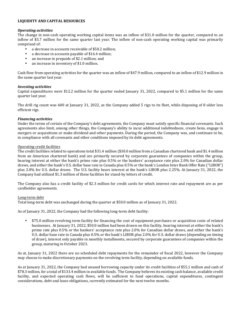# **LIQUIDITY AND CAPITAL RESOURCES**

# *Operating activities*

The change in non-cash operating working capital items was an inflow of \$31.0 million for the quarter, compared to an inflow of \$5.7 million for the same quarter last year. The inflow of non-cash operating working capital was primarily comprised of:

- a decrease in accounts receivable of \$50.2 million;
- a decrease in accounts payable of \$16.4 million;
- an increase in prepaids of \$2.1 million; and
- an increase in inventory of \$1.0 million.

Cash flow from operating activities for the quarter was an inflow of \$47.9 million, compared to an inflow of \$12.9 million in the same quarter last year.

# *Investing activities*

Capital expenditures were \$12.2 million for the quarter ended January 31, 2022, compared to \$5.1 million for the same quarter last year.

The drill rig count was 600 at January 31, 2022, as the Company added 5 rigs to its fleet, while disposing of 8 older less efficient rigs.

# *Financing activities*

Under the terms of certain of the Company's debt agreements, the Company must satisfy specific financial covenants. Such agreements also limit, among other things, the Company's ability to incur additional indebtedness, create liens, engage in mergers or acquisitions or make dividend and other payments. During the period, the Company was, and continues to be, in compliance with all covenants and other conditions imposed by its debt agreements.

### Operating credit facilities

The credit facilities related to operations total \$31.4 million (\$30.0 million from a Canadian chartered bank and \$1.4 million from an American chartered bank) and are primarily secured by corporate guarantees of companies within the group, bearing interest at either the bank's prime rate plus 0.5% or the bankers' acceptance rate plus 2.0% for Canadian dollar draws, and either the bank's U.S. dollar base rate in Canada plus 0.5% or the bank's London Inter Bank Offer Rate ("LIBOR") plus 2.0% for U.S. dollar draws. The U.S. facility bears interest at the bank's LIBOR plus 2.25%. At January 31, 2022, the Company had utilized \$1.3 million of these facilities for stand-by letters of credit.

The Company also has a credit facility of \$2.3 million for credit cards for which interest rate and repayment are as per cardholder agreements.

### Long-term debt

Total long-term debt was unchanged during the quarter at \$50.0 million as of January 31, 2022.

As of January 31, 2022, the Company had the following long-term debt facility:

• \$75.0 million revolving term facility for financing the cost of equipment purchases or acquisition costs of related businesses. At January 31, 2022, \$50.0 million had been drawn on this facility, bearing interest at either the bank's prime rate plus 0.5% or the bankers' acceptance rate plus 2.0% for Canadian dollar draws, and either the bank's U.S. dollar base rate in Canada plus 0.5% or the bank's LIBOR plus 2.0% for U.S. dollar draws (depending on timing of draw), interest only payable in monthly installments, secured by corporate guarantees of companies within the group, maturing in October 2023.

As at, January 31, 2022 there are no scheduled debt repayments for the remainder of fiscal 2022, however the Company may choose to make discretionary payments on the revolving term facility, depending on available funds.

As at January 31, 2022, the Company had unused borrowing capacity under its credit facilities of \$55.1 million and cash of \$78.3 million, for a total of \$133.4 million in available funds. The Company believes its existing cash balance, available credit facility, and expected operating cash flows, will be sufficient to fund operations, capital expenditures, contingent considerations, debt and lease obligations, currently estimated for the next twelve months.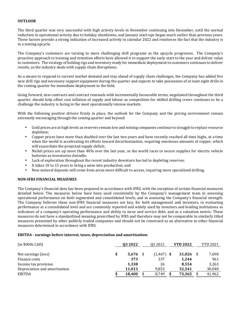# **OUTLOOK**

The third quarter was very successful with high activity levels in November continuing into December, until the normal reduction in operational activity due to holiday shutdowns, and January start-ups began much earlier than previous years. These factors provide a strong indication of increased activity in calendar 2022 and reinforces the fact that the industry is in a mining upcycle.

The Company's customers are turning to more challenging drill programs as the upcycle progresses. The Company's proactive approach to training and retention efforts have allowed it to support the early start to the year and deliver value to customers. The strategy of holding rigs and inventory ready for immediate deployment to customers continues to deliver results, as the industry deals with supply chain disruptions.

As a means to respond to current market demand and stay ahead of supply chain challenges, the Company has added five new drill rigs and necessary support equipment during the quarter and expects to take possession of at least eight drills in the coming quarter for immediate deployment to the field.

Going forward, new contracts and contract renewals with incrementally favourable terms, negotiated throughout the third quarter, should help offset cost inflation of supply and labour as competition for skilled drilling crews continues to be a challenge the industry is facing in the most operationally intense markets.

With the following positive drivers firmly in place, the outlook for the Company and the pricing environment remain extremely encouraging through the coming quarter and beyond:

- Gold prices are at high levels as reserves remain low and mining companies continue to struggle to replace resource depletion;
- Copper prices have more than doubled over the last two years and have recently reached all-time highs, at a time when the world is accelerating its efforts toward decarbonization, requiring enormous amounts of copper, which will exacerbate the projected supply deficit;
- Nickel prices are up more than 40% over the last year, as the world races to secure supplies for electric vehicle batteries as inventories dwindle;
- Lack of exploration throughout the recent industry downturn has led to depleting reserves;
- It takes 10 to 15 years to bring a mine into production; and
- New mineral deposits will come from areas more difficult to access, requiring more specialized drilling.

### **NON-IFRS FINANCIAL MEASURES**

The Company's financial data has been prepared in accordance with IFRS, with the exception of certain financial measures detailed below. The measures below have been used consistently by the Company's management team in assessing operational performance on both segmented and consolidated levels, and in assessing the Company's financial strength. The Company believes these non-IFRS financial measures are key, for both management and investors, in evaluating performance at a consolidated level and are commonly reported and widely used by investors and lending institutions as indicators of a company's operating performance and ability to incur and service debt, and as a valuation metric. These measures do not have a standardized meaning prescribed by IFRS and therefore may not be comparable to similarly titled measures presented by other publicly traded companies and should not be construed as an alternative to other financial measures determined in accordance with IFRS.

### **EBITDA - earnings before interest, taxes, depreciation and amortization:**

| $(in $000s$ CAD)              | 03 2022     | 03 20 21     | <b>YTD 2022</b> | <b>YTD 2021</b> |
|-------------------------------|-------------|--------------|-----------------|-----------------|
| Net earnings (loss)           | \$<br>5,676 | $(1,467)$ \$ | 31,026          | 7,690           |
| Finance costs                 | 373         | 337          | 1.244           | 961             |
| Income tax provision          | 1,338       | 26           | 8.554           | 3,263           |
| Depreciation and amortization | 11,013      | 9,853        | 32,541          | 30,048          |
| <b>EBITDA</b>                 | 18,400      | 8,749        | 73,365          | 41,962          |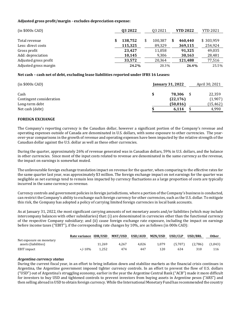# **Adjusted gross profit/margin - excludes depreciation expense:**

| $(in $000s$ CAD)      | 03 2022 | Q3 2021 | <b>YTD 2022</b> | <b>YTD 2021</b> |
|-----------------------|---------|---------|-----------------|-----------------|
|                       |         |         |                 |                 |
| Total revenue         | 138,752 | 100,387 | 460.440         | \$303,959       |
| Less: direct costs    | 115,325 | 89,329  | 369,115         | 254,924         |
| Gross profit          | 23.427  | 11,058  | 91.325          | 49,035          |
| Add: depreciation     | 10,145  | 9,306   | 30,163          | 28,481          |
| Adjusted gross profit | 33,572  | 20,364  | 121,488         | 77,516          |
| Adjusted gross margin | 24.2%   | 20.3%   | 26.4%           | 25.5%           |

# **Net cash – cash net of debt, excluding lease liabilities reported under IFRS 16 Leases:**

| $(in $000s$ CAD)         | <b>January 31, 2022</b> | April 30, 2021 |
|--------------------------|-------------------------|----------------|
|                          |                         |                |
| Cash                     | 78.306                  | 22,359         |
| Contingent consideration | (22, 176)               | (1,907)        |
| Long-term debt           | (50, 016)               | (15, 462)      |
| Net cash (debt)          | 6,114                   | 4.990          |

### **FOREIGN EXCHANGE**

The Company's reporting currency is the Canadian dollar, however a significant portion of the Company's revenue and operating expenses outside of Canada are denominated in U.S. dollars, with some exposure to other currencies. The yearover-year comparisons in the growth of revenue and operating expenses have been impacted by the relative strength of the Canadian dollar against the U.S. dollar as well as these other currencies.

During the quarter, approximately 26% of revenue generated was in Canadian dollars, 59% in U.S. dollars, and the balance in other currencies. Since most of the input costs related to revenue are denominated in the same currency as the revenue, the impact on earnings is somewhat muted.

The unfavourable foreign exchange translation impact on revenue for the quarter, when comparing to the effective rates for the same quarter last year, was approximately \$3 million. The foreign exchange impact on net earnings for the quarter was negligible as net earnings tend to remain less impacted by currency fluctuations as a large proportion of costs are typically incurred in the same currency as revenue.

Currency controls and government policies in foreign jurisdictions, where a portion of the Company's business is conducted, can restrict the Company's ability to exchange such foreign currency for other currencies, such as the U.S. dollar. To mitigate this risk, the Company has adopted a policy of carrying limited foreign currencies in local bank accounts.

As at January 31, 2022, the most significant carrying amounts of net monetary assets and/or liabilities (which may include intercompany balances with other subsidiaries) that: (i) are denominated in currencies other than the functional currency of the respective Company subsidiary; and (ii) cause foreign exchange rate exposure, including the impact on earnings before income taxes ("EBIT"), if the corresponding rate changes by 10%, are as follows (in 000s CAD):

|                                                  | Rate variance IDR/USD |        | <b>MNT/USD</b> | USD/AUD | MZN/USD | USD/CLP | <b>USD/BRL</b> | <b>Other</b> |
|--------------------------------------------------|-----------------------|--------|----------------|---------|---------|---------|----------------|--------------|
| Net exposure on monetary<br>assets (liabilities) |                       | 11.269 | 4.267          | 4.026   | 1.079   | (5.707) | (2,786)        | (1,043)      |
|                                                  |                       |        |                |         |         |         |                |              |
| EBIT impact                                      | $+/-10%$              | 1.252  | 474            | 447     | 120     | 634     | 310            | 116          |

### *Argentina currency status*

During the current fiscal year, in an effort to bring inflation down and stabilize markets as the financial crisis continues in Argentina, the Argentine government imposed tighter currency controls. In an effort to prevent the flow of U.S. dollars ("USD") out of Argentina's struggling economy, earlier in the year the Argentine Central Bank ("ACB") made it more difficult for investors to buy USD and tightened controls to prevent investors from buying assets in Argentine pesos ("ARS") and then selling abroad in USD to obtain foreign currency. While the International Monetary Fund has recommended the country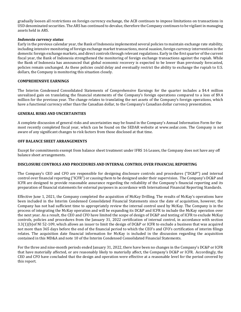gradually loosen all restrictions on foreign currency exchange, the ACB continues to impose limitations on transactions in USD denominated securities. The ARS has continued to devalue, therefore the Company continues to be vigilant in managing assets held in ARS.

### *Indonesia currency status*

Early in the previous calendar year, the Bank of Indonesia implemented several policies to maintain exchange rate stability, including intensive monitoring of foreign exchange market transactions, moral suasion, foreign currency intervention in the domestic foreign exchange markets, and direct controls through relevant regulations. Early in the first quarter of the current fiscal year, the Bank of Indonesia strengthened the monitoring of foreign exchange transactions against the rupiah. While the Bank of Indonesia has announced that global economic recovery is expected to be lower than previously forecasted, policies remain unchanged. As these policies could delay and eventually restrict the ability to exchange the rupiah to U.S. dollars, the Company is monitoring this situation closely.

# **COMPREHENSIVE EARNINGS**

The Interim Condensed Consolidated Statements of Comprehensive Earnings for the quarter includes a \$4.4 million unrealized gain on translating the financial statements of the Company's foreign operations compared to a loss of \$9.4 million for the previous year. The change relates to translating the net assets of the Company's foreign operations, which have a functional currency other than the Canadian dollar, to the Company's Canadian dollar currency presentation.

# **GENERAL RISKS AND UNCERTAINTIES**

A complete discussion of general risks and uncertainties may be found in the Company's Annual Information Form for the most recently completed fiscal year, which can be found on the SEDAR website at www.sedar.com. The Company is not aware of any significant changes to risk factors from those disclosed at that time.

# **OFF BALANCE SHEET ARRANGEMENTS**

Except for commitments exempt from balance sheet treatment under IFRS 16 Leases, the Company does not have any off balance sheet arrangements.

### **DISCLOSURE CONTROLS AND PROCEDURES AND INTERNAL CONTROL OVER FINANCIAL REPORTING**

The Company's CEO and CFO are responsible for designing disclosure controls and procedures ("DC&P") and internal control over financial reporting ("ICFR") or causing them to be designed under their supervision. The Company's DC&P and ICFR are designed to provide reasonable assurance regarding the reliability of the Company's financial reporting and its preparation of financial statements for external purposes in accordance with International Financial Reporting Standards.

Effective June 1, 2021, the Company completed the acquisition of McKay Drilling. The results of McKay's operations have been included in the Interim Condensed Consolidated Financial Statements since the date of acquisition, however, the Company has not had sufficient time to appropriately review the internal control used by McKay. The Company is in the process of integrating the McKay operation and will be expanding its DC&P and ICFR to include the McKay operation over the next year. As a result, the CEO and CFO have limited the scope of design of DC&P and testing of ICFR to exclude McKay controls, policies and procedures from the January 31, 2022 certification of internal control, in accordance with section 3.3(1)(b)of NI 52-109, which allows an issuer to limit the design of DC&P or ICFR to exclude a business that was acquired not more than 365 days before the end of the financial period to which the CEO's and CFO's certification of interim filings relates. The acquisition date financial information for McKay is included in the discussion regarding the acquisition contained in this MD&A and note 10 of the Interim Condensed Consolidated Financial Statements.

For the three and nine-month periods ended January 31, 2022, there have been no changes in the Company's DC&P or ICFR that have materially affected, or are reasonably likely to materially affect, the Company's DC&P or ICFR. Accordingly, the CEO and CFO have concluded that the design and operation were effective at a reasonable level for the period covered by this report.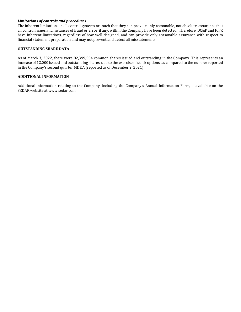# *Limitations of controls and procedures*

The inherent limitations in all control systems are such that they can provide only reasonable, not absolute, assurance that all control issues and instances of fraud or error, if any, within the Company have been detected. Therefore, DC&P and ICFR have inherent limitations, regardless of how well designed, and can provide only reasonable assurance with respect to financial statement preparation and may not prevent and detect all misstatements.

### **OUTSTANDING SHARE DATA**

As of March 3, 2022, there were 82,399,554 common shares issued and outstanding in the Company. This represents an increase of 12,000 issued and outstanding shares, due to the exercise of stock options, as compared to the number reported in the Company's second quarter MD&A (reported as of December 2, 2021).

# **ADDITIONAL INFORMATION**

Additional information relating to the Company, including the Company's Annual Information Form, is available on the SEDAR website at [www.sedar.com](http://www.sedar.com/).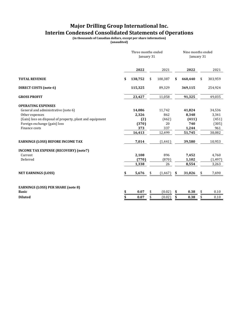# **Major Drilling Group International Inc. Interim Condensed Consolidated Statements of Operations**

**(in thousands of Canadian dollars, except per share information)**

**(unaudited)**

|                                                          | Three months ended<br>January 31 |                |    | Nine months ended<br>January 31 |    |          |  |
|----------------------------------------------------------|----------------------------------|----------------|----|---------------------------------|----|----------|--|
|                                                          | 2022                             | 2021           |    | 2022                            |    | 2021     |  |
| <b>TOTAL REVENUE</b>                                     | \$<br>138,752                    | \$<br>100,387  | \$ | 460,440                         | \$ | 303,959  |  |
| <b>DIRECT COSTS (note 6)</b>                             | 115,325                          | 89,329         |    | 369,115                         |    | 254,924  |  |
| <b>GROSS PROFIT</b>                                      | 23,427                           | 11,058         |    | 91,325                          |    | 49,035   |  |
| <b>OPERATING EXPENSES</b>                                |                                  |                |    |                                 |    |          |  |
| General and administrative (note 6)                      | 14,086                           | 11,742         |    | 41,824                          |    | 34,536   |  |
| Other expenses                                           | 2,326                            | 862            |    | 8,348                           |    | 3,341    |  |
| (Gain) loss on disposal of property, plant and equipment | (2)                              | (462)          |    | (411)                           |    | (451)    |  |
| Foreign exchange (gain) loss                             | (370)                            | 20             |    | 740                             |    | (305)    |  |
| Finance costs                                            | 373                              | 337            |    | 1,244                           |    | 961      |  |
|                                                          | 16,413                           | 12,499         |    | 51,745                          |    | 38,082   |  |
| <b>EARNINGS (LOSS) BEFORE INCOME TAX</b>                 | 7,014                            | (1, 441)       |    | 39,580                          |    | 10,953   |  |
| <b>INCOME TAX EXPENSE (RECOVERY) (note7)</b>             |                                  |                |    |                                 |    |          |  |
| Current                                                  | 2,108                            | 896            |    | 7,452                           |    | 4,760    |  |
| Deferred                                                 | (770)                            | (870)          |    | 1,102                           |    | (1, 497) |  |
|                                                          | 1,338                            | 26             |    | 8,554                           |    | 3,263    |  |
| <b>NET EARNINGS (LOSS)</b>                               | 5,676                            | \$<br>(1, 467) |    | 31,026                          |    | 7,690    |  |
|                                                          |                                  |                |    |                                 |    |          |  |
| <b>EARNINGS (LOSS) PER SHARE (note 8)</b>                |                                  |                |    |                                 |    |          |  |
| <b>Basic</b>                                             | \$<br>0.07                       | \$<br>(0.02)   | \$ | 0.38                            | \$ | 0.10     |  |
| <b>Diluted</b>                                           | \$<br>0.07                       | \$<br>(0.02)   | \$ | 0.38                            | \$ | 0.10     |  |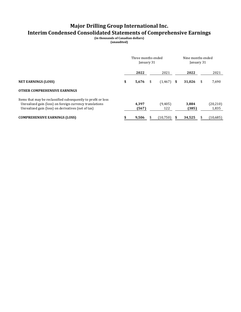# **Major Drilling Group International Inc. Interim Condensed Consolidated Statements of Comprehensive Earnings**

**(in thousands of Canadian dollars) (unaudited)**

|                                                                                                                                                                                |  | Three months ended<br>January 31 |                    | Nine months ended<br>January 31 |                |   |                    |
|--------------------------------------------------------------------------------------------------------------------------------------------------------------------------------|--|----------------------------------|--------------------|---------------------------------|----------------|---|--------------------|
|                                                                                                                                                                                |  | 2022                             | 2021               |                                 | 2022           |   | 2021               |
| <b>NET EARNINGS (LOSS)</b>                                                                                                                                                     |  | 5,676                            | \$<br>$(1,467)$ \$ |                                 | 31,026         | S | 7,690              |
| <b>OTHER COMPREHENSIVE EARNINGS</b>                                                                                                                                            |  |                                  |                    |                                 |                |   |                    |
| Items that may be reclassified subsequently to profit or loss<br>Unrealized gain (loss) on foreign currency translations<br>Unrealized gain (loss) on derivatives (net of tax) |  | 4.397<br>(567)                   | (9,405)<br>122     |                                 | 3,884<br>(385) |   | (20, 210)<br>1,835 |
| <b>COMPREHENSIVE EARNINGS (LOSS)</b>                                                                                                                                           |  | 9,506                            | (10,750)           |                                 | 34,525         |   | (10,685)           |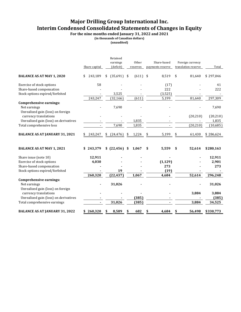# **Major Drilling Group International Inc. Interim Condensed Consolidated Statements of Changes in Equity**

**For the nine months ended January 31, 2022 and 2021**

**(in thousands of Canadian dollars)**

**(unaudited)**

|                                                                                                                   | Share capital   |    | Retained<br>earnings<br>(deficit) | Other<br>reserves | Share-based<br>payments reserve | Foreign currency<br>translation reserve | Total                    |
|-------------------------------------------------------------------------------------------------------------------|-----------------|----|-----------------------------------|-------------------|---------------------------------|-----------------------------------------|--------------------------|
| <b>BALANCE AS AT MAY 1, 2020</b>                                                                                  | 243,189<br>\$   | \$ | $(35,691)$ \$                     | $(611)$ \$        | 8,519                           | \$<br>81,640                            | \$297,046                |
| Exercise of stock options<br>Share-based compensation                                                             | 58              |    |                                   |                   | (17)<br>222                     |                                         | 41<br>222                |
| Stock options expired/forfeited                                                                                   | 243,247         |    | 3,525<br>(32, 166)                | (611)             | (3,525)<br>5,199                | 81,640                                  | 297,309                  |
| <b>Comprehensive earnings:</b><br>Net earnings<br>Unrealized gain (loss) on foreign<br>currency translations      |                 |    | 7,690                             |                   |                                 | (20, 210)                               | 7,690<br>(20, 210)       |
| Unrealized gain (loss) on derivatives<br>Total comprehensive loss                                                 |                 |    | 7,690                             | 1,835<br>1,835    |                                 | (20, 210)                               | 1,835<br>(10,685)        |
| <b>BALANCE AS AT JANUARY 31, 2021</b>                                                                             | 243,247         | \$ | (24, 476)                         | \$<br>1,224       | \$<br>5,199                     | \$<br>61,430                            | \$286,624                |
| <b>BALANCE AS AT MAY 1, 2021</b>                                                                                  | \$243,379       |    | \$ (22,456) \$                    | 1,067             | \$<br>5,559                     | \$<br>52,614                            | \$280,163                |
| Share issue (note 10)<br>Exercise of stock options<br>Share-based compensation<br>Stock options expired/forfeited | 12,911<br>4,030 |    | 19                                |                   | (1, 129)<br>273<br>(19)         |                                         | 12,911<br>2,901<br>273   |
| <b>Comprehensive earnings:</b><br>Net earnings<br>Unrealized gain (loss) on foreign                               | 260,320         |    | (22, 437)<br>31,026               | 1,067             | 4,684                           | 52,614                                  | 296,248<br>31,026        |
| currency translations<br>Unrealized gain (loss) on derivatives<br>Total comprehensive earnings                    |                 |    | 31,026                            | (385)<br>(385)    |                                 | 3,884<br>3,884                          | 3,884<br>(385)<br>34,525 |
| <b>BALANCE AS AT JANUARY 31, 2022</b>                                                                             | \$260,320       | S  | 8,589                             | \$<br>682         | \$<br>4,684                     | \$<br>56,498                            | \$330,773                |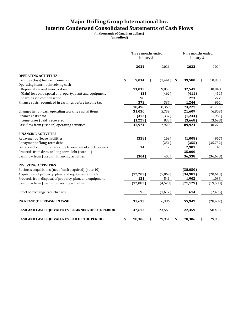# **Major Drilling Group International Inc. Interim Condensed Consolidated Statements of Cash Flows**

**(in thousands of Canadian dollars)**

**(unaudited)**

|                                                            | Three months ended<br>January 31 |           |    |          |    | Nine months ended<br>January 31 |    |           |  |
|------------------------------------------------------------|----------------------------------|-----------|----|----------|----|---------------------------------|----|-----------|--|
|                                                            |                                  | 2022      |    | 2021     |    | 2022                            |    | 2021      |  |
| <b>OPERATING ACTIVITIES</b>                                |                                  |           |    |          |    |                                 |    |           |  |
| Earnings (loss) before income tax                          | \$                               | 7,014     | \$ | (1, 441) | \$ | 39,580                          | \$ | 10,953    |  |
| Operating items not involving cash                         |                                  |           |    |          |    |                                 |    |           |  |
| Depreciation and amortization                              |                                  | 11,013    |    | 9,853    |    | 32,541                          |    | 30,048    |  |
| (Gain) loss on disposal of property, plant and equipment   |                                  | (2)       |    | (462)    |    | (411)                           |    | (451)     |  |
| Share-based compensation                                   |                                  | 98        |    | 73       |    | 273                             |    | 222       |  |
| Finance costs recognized in earnings before income tax     |                                  | 373       |    | 337      |    | 1,244                           |    | 961       |  |
|                                                            |                                  | 18,496    |    | 8,360    |    | 73,227                          |    | 41,733    |  |
| Changes in non-cash operating working capital items        |                                  | 31,030    |    | 5,739    |    | 21,609                          |    | (6,803)   |  |
| Finance costs paid                                         |                                  | (373)     |    | (337)    |    | (1, 244)                        |    | (961)     |  |
| Income taxes (paid) recovered                              |                                  | (1, 229)  |    | (833)    |    | (3,668)                         |    | (3,698)   |  |
| Cash flow from (used in) operating activities              |                                  | 47,924    |    | 12,929   |    | 89,924                          |    | 30,271    |  |
| <b>FINANCING ACTIVITIES</b>                                |                                  |           |    |          |    |                                 |    |           |  |
| Repayment of lease liabilities                             |                                  | (338)     |    | (169)    |    | (1,008)                         |    | (967)     |  |
| Repayment of long-term debt                                |                                  |           |    | (251)    |    | (355)                           |    | (35, 752) |  |
| Issuance of common shares due to exercise of stock options |                                  | 34        |    | 17       |    | 2,901                           |    | 41        |  |
| Proceeds from draw on long-term debt (note 11)             |                                  |           |    |          |    | 35,000                          |    |           |  |
| Cash flow from (used in) financing activities              |                                  | (304)     |    | (403)    |    | 36,538                          |    | (36, 678) |  |
|                                                            |                                  |           |    |          |    |                                 |    |           |  |
| <b>INVESTING ACTIVITIES</b>                                |                                  |           |    |          |    |                                 |    |           |  |
| Business acquisitions (net of cash acquired) (note 10)     |                                  |           |    |          |    | (38,050)                        |    |           |  |
| Acquisition of property, plant and equipment (note 5)      |                                  | (12, 203) |    | (5,069)  |    | (34,981)                        |    | (20, 613) |  |
| Proceeds from disposal of property, plant and equipment    |                                  | 121       |    | 541      |    | 1,902                           |    | 1,033     |  |
| Cash flow from (used in) investing activities              |                                  | (12,082)  |    | (4,528)  |    | (71, 129)                       |    | (19, 580) |  |
| Effect of exchange rate changes                            |                                  | 95        |    | (1,612)  |    | 614                             |    | (2, 495)  |  |
| <b>INCREASE (DECREASE) IN CASH</b>                         |                                  | 35,633    |    | 6,386    |    | 55,947                          |    | (28, 482) |  |
| CASH AND CASH EQUIVALENTS, BEGINNING OF THE PERIOD         |                                  | 42,673    |    | 23,565   |    | 22,359                          |    | 58,433    |  |
| CASH AND CASH EQUIVALENTS, END OF THE PERIOD               | \$                               | 78,306    | \$ | 29,951   | \$ | 78,306                          |    | 29,951    |  |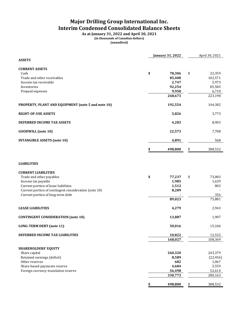# **Major Drilling Group International Inc. Interim Condensed Consolidated Balance Sheets**

**As at January 31, 2022 and April 30, 2021 (in thousands of Canadian dollars) (unaudited)**

|                                                       | <b>January 31, 2022</b> | April 30, 2021 |               |
|-------------------------------------------------------|-------------------------|----------------|---------------|
| <b>ASSETS</b>                                         |                         |                |               |
| <b>CURRENT ASSETS</b>                                 |                         |                |               |
| Cash                                                  | \$                      | 78,306         | \$<br>22,359  |
| Trade and other receivables                           |                         | 85,408         | 102,571       |
| Income tax receivable                                 |                         | 2,747          | 5,973         |
| Inventories                                           |                         | 92,254         | 85,585        |
| Prepaid expenses                                      |                         | 9,958          | 6,710         |
|                                                       |                         | 268,673        | 223,198       |
| PROPERTY, PLANT AND EQUIPMENT (note 5 and note 10)    |                         | 192,554        | 144,382       |
| <b>RIGHT-OF-USE ASSETS</b>                            |                         | 5,826          | 3,773         |
| DEFERRED INCOME TAX ASSETS                            |                         | 4,283          | 8,903         |
| <b>GOODWILL</b> (note 10)                             |                         | 22,573         | 7,708         |
| <b>INTANGIBLE ASSETS (note 10)</b>                    |                         | 4,891          | 568           |
|                                                       | \$                      | 498,800        | \$<br>388,532 |
| <b>LIABILITIES</b>                                    |                         |                |               |
| <b>CURRENT LIABILITIES</b>                            |                         |                |               |
| Trade and other payables                              | \$                      | 77,237         | \$<br>73,083  |
| Income tax payable                                    |                         | 1,985          | 1,639         |
| Current portion of lease liabilities                  |                         | 1,512          | 803           |
| Current portion of contingent consideration (note 10) |                         | 8,289          |               |
| Current portion of long-term debt                     |                         |                | 356           |
|                                                       |                         | 89,023         | 75,881        |
| <b>LEASE LIABILITIES</b>                              |                         | 4,279          | 2,943         |
| <b>CONTINGENT CONSIDERATION (note 10)</b>             |                         | 13,887         | 1,907         |
| <b>LONG-TERM DEBT (note 11)</b>                       |                         | 50,016         | 15,106        |
| DEFERRED INCOME TAX LIABILITIES                       |                         | 10,822         | 12,532        |
|                                                       |                         | 168,027        | 108,369       |
| <b>SHAREHOLDERS' EQUITY</b>                           |                         |                |               |
| Share capital                                         |                         | 260,320        | 243,379       |
| Retained earnings (deficit)                           |                         | 8,589          | (22, 456)     |
| Other reserves                                        |                         | 682            | 1,067         |
| Share-based payments reserve                          |                         | 4,684          | 5,559         |
| Foreign currency translation reserve                  |                         | 56,498         | 52,614        |
|                                                       |                         | 330,773        | 280,163       |
|                                                       | \$                      | 498,800        | \$<br>388,532 |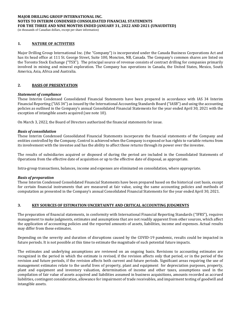(in thousands of Canadian dollars, except per share information)

# **1. NATURE OF ACTIVITIES**

Major Drilling Group International Inc. (the "Company") is incorporated under the Canada Business Corporations Act and has its head office at 111 St. George Street, Suite 100, Moncton, NB, Canada. The Company's common shares are listed on the Toronto Stock Exchange ("TSX"). The principal source of revenue consists of contract drilling for companies primarily involved in mining and mineral exploration. The Company has operations in Canada, the United States, Mexico, South America, Asia, Africa and Australia.

# **2. BASIS OF PRESENTATION**

### *Statement of compliance*

These Interim Condensed Consolidated Financial Statements have been prepared in accordance with IAS 34 Interim Financial Reporting ("IAS 34") as issued by the International Accounting Standards Board ("IASB") and using the accounting policies as outlined in the Company's annual Consolidated Financial Statements for the year ended April 30, 2021 with the exception of intangible assets acquired (see note 10).

On March 3, 2022, the Board of Directors authorized the financial statements for issue.

### *Basis of consolidation*

These Interim Condensed Consolidated Financial Statements incorporate the financial statements of the Company and entities controlled by the Company. Control is achieved when the Company is exposed or has rights to variable returns from its involvement with the investee and has the ability to affect those returns through its power over the investee.

The results of subsidiaries acquired or disposed of during the period are included in the Consolidated Statements of Operations from the effective date of acquisition or up to the effective date of disposal, as appropriate.

Intra-group transactions, balances, income and expenses are eliminated on consolidation, where appropriate.

### *Basis of preparation*

These Interim Condensed Consolidated Financial Statements have been prepared based on the historical cost basis, except for certain financial instruments that are measured at fair value, using the same accounting policies and methods of computation as presented in the Company's annual Consolidated Financial Statements for the year ended April 30, 2021.

### **3. KEY SOURCES OF ESTIMATION UNCERTAINTY AND CRITICAL ACCOUNTING JUDGMENTS**

The preparation of financial statements, in conformity with International Financial Reporting Standards ("IFRS"), requires management to make judgments, estimates and assumptions that are not readily apparent from other sources, which affect the application of accounting policies and the reported amounts of assets, liabilities, income and expenses. Actual results may differ from these estimates.

Depending on the severity and duration of disruptions caused by the COVID-19 pandemic, results could be impacted in future periods. It is not possible at this time to estimate the magnitude of such potential future impacts.

The estimates and underlying assumptions are reviewed on an ongoing basis. Revisions to accounting estimates are recognized in the period in which the estimate is revised, if the revision affects only that period, or in the period of the revision and future periods, if the revision affects both current and future periods. Significant areas requiring the use of management estimates relate to the useful lives of property, plant and equipment for depreciation purposes, property, plant and equipment and inventory valuation, determination of income and other taxes, assumptions used in the compilation of fair value of assets acquired and liabilities assumed in business acquisitions, amounts recorded as accrued liabilities, contingent consideration, allowance for impairment of trade receivables, and impairment testing of goodwill and intangible assets.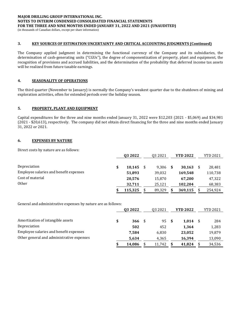(in thousands of Canadian dollars, except per share information)

# **3. KEY SOURCES OF ESTIMATION UNCERTAINTY AND CRITICAL ACCOUNTING JUDGMENTS (Continued)**

The Company applied judgment in determining the functional currency of the Company and its subsidiaries, the determination of cash-generating units ("CGUs"), the degree of componentization of property, plant and equipment, the recognition of provisions and accrued liabilities, and the determination of the probability that deferred income tax assets will be realized from future taxable earnings.

# **4. SEASONALITY OF OPERATIONS**

The third quarter (November to January) is normally the Company's weakest quarter due to the shutdown of mining and exploration activities, often for extended periods over the holiday season.

# **5. PROPERTY, PLANT AND EQUIPMENT**

Capital expenditures for the three and nine months ended January 31, 2022 were \$12,203 (2021 - \$5,069) and \$34,981 (2021 - \$20,613), respectively. The company did not obtain direct financing for the three and nine months ended January 31, 2022 or 2021.

# **6. EXPENSES BY NATURE**

Direct costs by nature are as follows:

|                                        | Q3 2022 |         | Q3 2021      |      | <b>YTD 2022</b> |  | <b>YTD 2021</b> |  |
|----------------------------------------|---------|---------|--------------|------|-----------------|--|-----------------|--|
|                                        |         |         |              |      |                 |  |                 |  |
| Depreciation                           | \$      | 10,145  | 9.306        | - \$ | 30,163          |  | 28,481          |  |
| Employee salaries and benefit expenses |         | 51,893  | 39,032       |      | 169.548         |  | 110,738         |  |
| Cost of material                       |         | 20,576  | 15,870       |      | 67,200          |  | 47,322          |  |
| <b>Other</b>                           |         | 32.711  | 25.121       |      | 102,204         |  | 68,383          |  |
|                                        |         | 115,325 | \$<br>89,329 |      | 369,115         |  | 254.924         |  |

General and administrative expenses by nature are as follows:

|                                           | Q3 2022      | 03 2021      | <b>YTD 2022</b> | <b>YTD 2021</b> |
|-------------------------------------------|--------------|--------------|-----------------|-----------------|
|                                           |              |              |                 |                 |
| Amortization of intangible assets         | \$<br>366    | 95S          | 1.014           | 284             |
| Depreciation                              | 502          | 452          | 1.364           | 1,283           |
| Employee salaries and benefit expenses    | 7.584        | 6,830        | 23,052          | 19,879          |
| Other general and administrative expenses | 5,634        | 4,365        | 16,394          | 13,090          |
|                                           | \$<br>14.086 | \$<br>11.742 | 41.824          | 34,536          |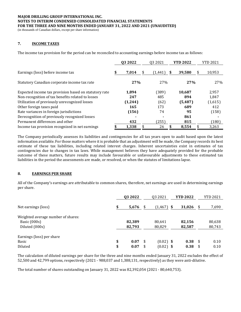(in thousands of Canadian dollars, except per share information)

# **7. INCOME TAXES**

The income tax provision for the period can be reconciled to accounting earnings before income tax as follows:

|                                                       | <b>Q32022</b> | 03 20 21      | <b>YTD 2022</b> |    | <b>YTD 2021</b> |
|-------------------------------------------------------|---------------|---------------|-----------------|----|-----------------|
| Earnings (loss) before income tax                     | \$<br>7,014   | (1, 441)<br>S | 39.580          | S. | 10,953          |
| Statutory Canadian corporate income tax rate          | 27%           | 27%           | 27%             |    | 27%             |
| Expected income tax provision based on statutory rate | 1,894         | (389)         | 10,687          |    | 2,957           |
| Non-recognition of tax benefits related to losses     | 247           | 485           | 894             |    | 1.847           |
| Utilization of previously unrecognized losses         | (1,244)       | (62)          | (5,487)         |    | (1,615)         |
| Other foreign taxes paid                              | 165           | 173           | 689             |    | 412             |
| Rate variances in foreign jurisdictions               | (156)         | 74            | 95              |    | (158)           |
| Derecognition of previously recognized losses         |               |               | 861             |    |                 |
| Permanent differences and other                       | 432           | (255)         | 815             |    | (180)           |
| Income tax provision recognized in net earnings       | 1.338         | 26            | 8.554           |    | 3,263           |

The Company periodically assesses its liabilities and contingencies for all tax years open to audit based upon the latest information available. For those matters where it is probable that an adjustment will be made, the Company records its best estimate of these tax liabilities, including related interest charges. Inherent uncertainties exist in estimates of tax contingencies due to changes in tax laws. While management believes they have adequately provided for the probable outcome of these matters, future results may include favourable or unfavourable adjustments to these estimated tax liabilities in the period the assessments are made, or resolved, or when the statutes of limitations lapse.

### **8. EARNINGS PER SHARE**

All of the Company's earnings are attributable to common shares, therefore, net earnings are used in determining earnings per share.

|                                                                      | Q3 2022          |      | 03 2021          | <b>YTD 2022</b>  |     |                  |
|----------------------------------------------------------------------|------------------|------|------------------|------------------|-----|------------------|
|                                                                      |                  |      |                  |                  |     |                  |
| Net earnings (loss)                                                  | \$<br>5,676      | - \$ | $(1,467)$ \$     | 31,026           | -\$ | 7,690            |
| Weighted average number of shares:<br>Basic (000s)<br>Diluted (000s) | 82,389<br>82,793 |      | 80,641<br>80,829 | 82,156<br>82,587 |     | 80,638<br>80,743 |
| Earnings (loss) per share                                            |                  |      |                  |                  |     |                  |
| Basic                                                                | \$<br>0.07       | \$   | $(0.02)$ \$      | 0.38             | -\$ | 0.10             |
| Diluted                                                              | \$<br>0.07       | \$   | $(0.02)$ \$      | 0.38             | \$  | 0.10             |

The calculation of diluted earnings per share for the three and nine months ended January 31, 2022 excludes the effect of 52,500 and 42,799 options, respectively (2021 - 988,037 and 1,388,131, respectively) as they were anti-dilutive.

The total number of shares outstanding on January 31, 2022 was 82,392,054 (2021 - 80,640,753).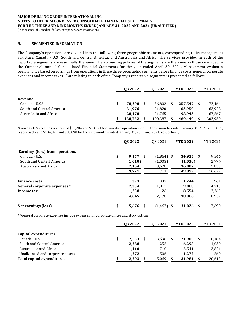(in thousands of Canadian dollars, except per share information)

# **9. SEGMENTED INFORMATION**

The Company's operations are divided into the following three geographic segments, corresponding to its management structure: Canada - U.S.; South and Central America; and Australasia and Africa. The services provided in each of the reportable segments are essentially the same. The accounting policies of the segments are the same as those described in the Company's annual Consolidated Financial Statements for the year ended April 30, 2021. Management evaluates performance based on earnings from operations in these three geographic segments before finance costs, general corporate expenses and income taxes. Data relating to each of the Company's reportable segments is presented as follows:

|                           |   | 03 2022 | <b>YTD 2022</b><br>03 2021 |   |         | YTD 2021 |
|---------------------------|---|---------|----------------------------|---|---------|----------|
|                           |   |         |                            |   |         |          |
| Revenue                   |   |         |                            |   |         |          |
| Canada - U.S. $*$         | S | 78.298  | 56.802                     | S | 257.547 | 173,464  |
| South and Central America |   | 31,976  | 21,820                     |   | 103,950 | 62,928   |
| Australasia and Africa    |   | 28,478  | 21,765                     |   | 98,943  | 67,567   |
|                           |   | 138,752 | 100,387                    |   | 460,440 | 303,959  |

\*Canada - U.S. includes revenue of \$36,284 and \$33,371 for Canadian operations for the three months ended January 31, 2022 and 2021, respectively and \$134,821 and \$85,090 for the nine months ended January 31, 2022 and 2021, respectively.

|                                 | 03 2022           | 03 2021      | <b>YTD 2022</b> |      | <b>YTD 2021</b> |
|---------------------------------|-------------------|--------------|-----------------|------|-----------------|
| Earnings (loss) from operations |                   |              |                 |      |                 |
| Canada - U.S.                   | \$<br>9,177<br>\$ | $(1,864)$ \$ | 34,915          | - \$ | 9,546           |
| South and Central America       | (1,610)           | (1,003)      | (1,030)         |      | (2,774)         |
| Australasia and Africa          | 2,154             | 3,578        | 16,007          |      | 9,855           |
|                                 | 9,721             | 711          | 49,892          |      | 16,627          |
| <b>Finance costs</b>            | 373               | 337          | 1.244           |      | 961             |
| General corporate expenses**    | 2,334             | 1,815        | 9,068           |      | 4,713           |
| Income tax                      | 1,338             | 26           | 8,554           |      | 3,263           |
|                                 | 4.045             | 2,178        | 18,866          |      | 8,937           |
|                                 |                   |              |                 |      |                 |
| Net earnings (loss)             | \$<br>5,676<br>\$ | (1, 467)     | 31,026<br>\$    | \$   | 7,690           |

\*\*General corporate expenses include expenses for corporate offices and stock options.

|                                   | Q3 2022     |     | 03 2021 | <b>YTD 2022</b> | <b>YTD 2021</b> |
|-----------------------------------|-------------|-----|---------|-----------------|-----------------|
|                                   |             |     |         |                 |                 |
| Capital expenditures              |             |     |         |                 |                 |
| Canada - U.S.                     | \$<br>7,533 | S   | 3,598   | 21,900          | 16,184          |
| South and Central America         | 2,288       |     | 255     | 6,298           | 1,039           |
| Australasia and Africa            | 1,110       |     | 710     | 5,511           | 2,821           |
| Unallocated and corporate assets  | 1.272       |     | 506     | 1.272           | 569             |
| <b>Total capital expenditures</b> | 12.203      | \$. | 5,069   | 34,981          | 20,613          |
|                                   |             |     |         |                 |                 |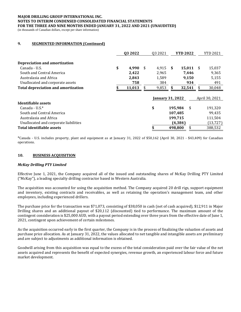(in thousands of Canadian dollars, except per share information)

# **9. SEGMENTED INFORMATION (Continued)**

|                                            | Q3 2022<br>03 2021<br><b>YTD 2022</b> |      |                         |             |                | <b>YTD 2021</b> |           |
|--------------------------------------------|---------------------------------------|------|-------------------------|-------------|----------------|-----------------|-----------|
| <b>Depreciation and amortization</b>       |                                       |      |                         |             |                |                 |           |
| Canada - U.S.                              | \$<br>4.990                           | - \$ | 4.915                   | -S          | 15,011         | <b>S</b>        | 15,037    |
| South and Central America                  | 2,422                                 |      | 2,965                   |             | 7.446          |                 | 9,365     |
| Australasia and Africa                     | 2,843                                 |      | 1,589                   |             | 9.150          |                 | 5,155     |
| Unallocated and corporate assets           | 758<br>384<br>934                     |      |                         |             |                |                 | 491       |
| <b>Total depreciation and amortization</b> | 11,013                                | \$   | 9,853                   | S<br>32,541 |                | \$              | 30,048    |
|                                            |                                       |      | <b>January 31, 2022</b> |             | April 30, 2021 |                 |           |
| Identifiable assets                        |                                       |      |                         |             |                |                 |           |
| Canada - U.S. $*$                          |                                       |      | \$                      |             | 195,984<br>\$  |                 | 191,320   |
| South and Central America                  |                                       |      |                         |             | 107,485        |                 | 99,435    |
| Australasia and Africa                     |                                       |      |                         |             | 199,715        |                 | 111,504   |
| Unallocated and corporate liabilities      |                                       |      |                         |             | (4, 384)       |                 | (13, 727) |
| Total identifiable assets                  |                                       |      | \$                      |             | \$<br>498.800  |                 | 388,532   |

\*Canada - U.S. includes property, plant and equipment as at January 31, 2022 of \$50,162 (April 30, 2021 - \$43,409) for Canadian operations.

### **10. BUSINESS ACQUISITION**

#### *McKay Drilling PTY Limited*

Effective June 1, 2021, the Company acquired all of the issued and outstanding shares of McKay Drilling PTY Limited ("McKay"), a leading specialty drilling contractor based in Western Australia.

The acquisition was accounted for using the acquisition method. The Company acquired 20 drill rigs, support equipment and inventory, existing contracts and receivables, as well as retaining the operation's management team, and other employees, including experienced drillers.

The purchase price for the transaction was \$71,073, consisting of \$38,050 in cash (net of cash acquired), \$12,911 in Major Drilling shares and an additional payout of \$20,112 (discounted) tied to performance. The maximum amount of the contingent consideration is \$25,000 AUD, with a payout period extending over three years from the effective date of June 1, 2021, contingent upon achievement of certain milestones.

As the acquisition occurred early in the first quarter, the Company is in the process of finalizing the valuation of assets and purchase price allocation. As at January 31, 2022, the values allocated to net tangible and intangible assets are preliminary and are subject to adjustments as additional information is obtained.

Goodwill arising from this acquisition was equal to the excess of the total consideration paid over the fair value of the net assets acquired and represents the benefit of expected synergies, revenue growth, an experienced labour force and future market development.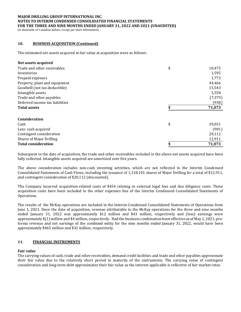(in thousands of Canadian dollars, except per share information)

# **10. BUSINESS ACQUISITION (Continued)**

The estimated net assets acquired at fair value at acquisition were as follows:

### **Net assets acquired**

| Trade and other receivables     | \$<br>10,475 |
|---------------------------------|--------------|
| Inventories                     | 1,595        |
| Prepaid expenses                | 1,773        |
| Property, plant and equipment   | 44,466       |
| Goodwill (not tax deductible)   | 15,543       |
| Intangible assets               | 5,558        |
| Trade and other payables        | (7, 379)     |
| Deferred income tax liabilities | (958)        |
| <b>Total assets</b>             | 71,073       |
| <b>Consideration</b>            |              |
| Cash                            | \$<br>39,031 |
| Less: cash acquired             | (981)        |
| Contingent consideration        | 20,112       |
| <b>Shares of Major Drilling</b> | 12,911       |
| <b>Total consideration</b>      | 71,073       |

Subsequent to the date of acquisition, the trade and other receivables included in the above net assets acquired have been fully collected. Intangible assets acquired are amortized over five years.

The above consideration includes non-cash investing activities, which are not reflected in the Interim Condensed Consolidated Statements of Cash Flows, including the issuance of 1,318,101 shares of Major Drilling for a total of \$12,911, and contingent consideration of \$20,112 (discounted).

The Company incurred acquisition-related costs of \$454 relating to external legal fees and due diligence costs. These acquisition costs have been included in the other expenses line of the Interim Condensed Consolidated Statements of Operations.

The results of the McKay operations are included in the Interim Condensed Consolidated Statements of Operations from June 1, 2021. Since the date of acquisition, revenue attributable to the McKay operations for the three and nine months ended January 31, 2022 was approximately \$12 million and \$43 million, respectively and (loss) earnings were approximately \$(1) million and \$4 million, respectively. Had the business combination been effective as of May 1, 2021, proforma revenue and net earnings of the combined entity for the nine months ended January 31, 2022, would have been approximately \$465 million and \$32 million, respectively.

### **11. FINANCIAL INSTRUMENTS**

### *Fair value*

The carrying values of cash, trade and other receivables, demand credit facilities and trade and other payables approximate their fair value due to the relatively short period to maturity of the instruments. The carrying value of contingent consideration and long-term debt approximates their fair value as the interest applicable is reflective of fair market rates.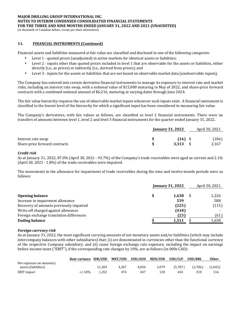(in thousands of Canadian dollars, except per share information)

# **11. FINANCIAL INSTRUMENTS (Continued)**

Financial assets and liabilities measured at fair value are classified and disclosed in one of the following categories:

- Level 1 quoted prices (unadjusted) in active markets for identical assets or liabilities;
- Level 2 inputs other than quoted prices included in level 1 that are observable for the assets or liabilities, either directly (i.e., as prices) or indirectly (i.e., derived from prices); and
- Level 3 inputs for the assets or liabilities that are not based on observable market data (unobservable inputs).

The Company has entered into certain derivative financial instruments to manage its exposure to interest rate and market risks, including an interest rate swap, with a notional value of \$15,000 maturing in May of 2022, and share-price forward contracts with a combined notional amount of \$6,216, maturing at varying dates through June 2024.

The fair value hierarchy requires the use of observable market inputs whenever such inputs exist. A financial instrument is classified to the lowest level of the hierarchy for which a significant input has been considered in measuring fair value.

The Company's derivatives, with fair values as follows, are classified as level 2 financial instruments. There were no transfers of amounts between level 1, level 2 and level 3 financial instruments for the quarter ended January 31, 2022.

|                               | <b>January 31, 2022</b> | April 30, 2021 |  |
|-------------------------------|-------------------------|----------------|--|
| Interest rate swap            | $(16)$ \$               | (106)          |  |
| Share-price forward contracts | 3.313                   | 2,167          |  |

### *Credit risk*

As at January 31, 2022, 87.0% (April 30, 2021 - 93.7%) of the Company's trade receivables were aged as current and 2.1% (April 30, 2021 - 1.8%) of the trade receivables were impaired.

The movements in the allowance for impairment of trade receivables during the nine and twelve-month periods were as follows:

|                                          | <b>January 31, 2022</b> | April 30, 2021 |
|------------------------------------------|-------------------------|----------------|
| <b>Opening balance</b>                   | 1.638                   | 1,226          |
| Increase in impairment allowance         | 539                     | 588            |
| Recovery of amounts previously impaired  | (225)                   | (115)          |
| Write-off charged against allowance      | (418)                   |                |
| Foreign exchange translation differences | (23)                    | (61)           |
| <b>Ending balance</b>                    | 1,511                   | 1,638          |

### *Foreign currency risk*

As at January 31, 2022, the most significant carrying amounts of net monetary assets and/or liabilities (which may include intercompany balances with other subsidiaries) that: (i) are denominated in currencies other than the functional currency of the respective Company subsidiary; and (ii) cause foreign exchange rate exposure, including the impact on earnings before income taxes ("EBIT"), if the corresponding rate changes by 10%, are as follows (in 000s CAD):

|                          | Rate variance IDR/USD |        | <b>MNT/USD</b> | USD/AUD | MZN/USD | USD/CLP | <b>USD/BRL</b> | <b>Other</b> |
|--------------------------|-----------------------|--------|----------------|---------|---------|---------|----------------|--------------|
| Net exposure on monetary |                       |        |                |         |         |         |                |              |
| assets (liabilities)     |                       | 11.269 | 4.267          | 4.026   | 1.079   | (5.707) | (2,786)        | (1,043)      |
| EBIT impact              | $+/-10%$              | 1.252  | 474            | 447     | 120     | 634     | 310            | 116          |